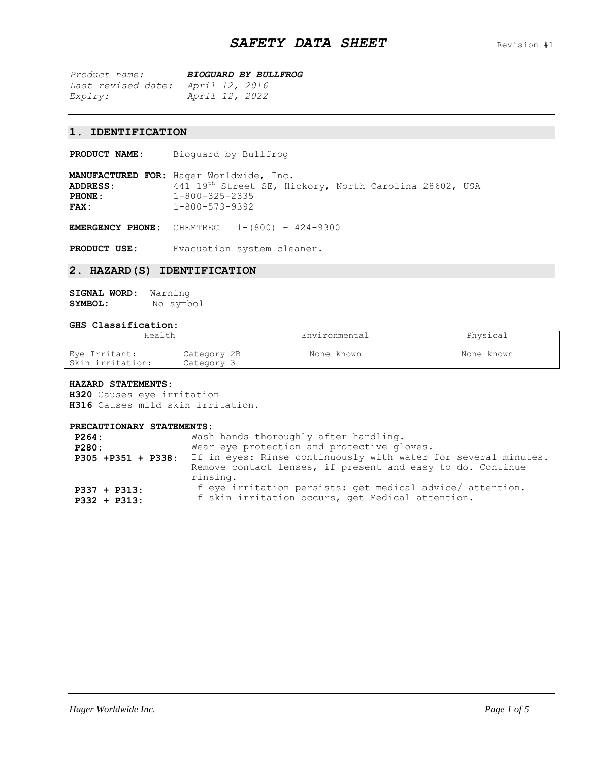*Product name: BIOGUARD BY BULLFROG Last revised date: April 12, 2016 Expiry: April 12, 2022*

## **1. IDENTIFICATION**

**PRODUCT NAME:** Bioguard by Bullfrog

**MANUFACTURED FOR:** Hager Worldwide, Inc. ADDRESS: 441 19<sup>th</sup> Street SE, Hickory, North Carolina 28602, USA **PHONE:** 1-800-325-2335<br> **FAX:** 1-800-573-9392 **FAX:** 1-800-573-9392

**EMERGENCY PHONE:** CHEMTREC 1-(800) – 424-9300

**PRODUCT USE:** Evacuation system cleaner.

## **2. HAZARD(S) IDENTIFICATION**

| <b>SIGNAL WORD:</b> | Warning   |
|---------------------|-----------|
| SYMBOL:             | No symbol |

#### **GHS Classification:**

| Health                            |                           | Environmental | Physical   |
|-----------------------------------|---------------------------|---------------|------------|
| Eye Irritant:<br>Skin irritation: | Category 2B<br>Category 3 | None known    | None known |

#### **HAZARD STATEMENTS:**

**H320** Causes eye irritation **H316** Causes mild skin irritation.

#### **PRECAUTIONARY STATEMENTS:**

| P264:<br>P280:<br>P305 +P351 + P338: | Wash hands thoroughly after handling.<br>Wear eye protection and protective gloves.<br>If in eyes: Rinse continuously with water for several minutes.<br>Remove contact lenses, if present and easy to do. Continue<br>rinsing. |
|--------------------------------------|---------------------------------------------------------------------------------------------------------------------------------------------------------------------------------------------------------------------------------|
| $P337 + P313$ :                      | If eye irritation persists: get medical advice/ attention.                                                                                                                                                                      |
| $P332 + P313$ :                      | If skin irritation occurs, get Medical attention.                                                                                                                                                                               |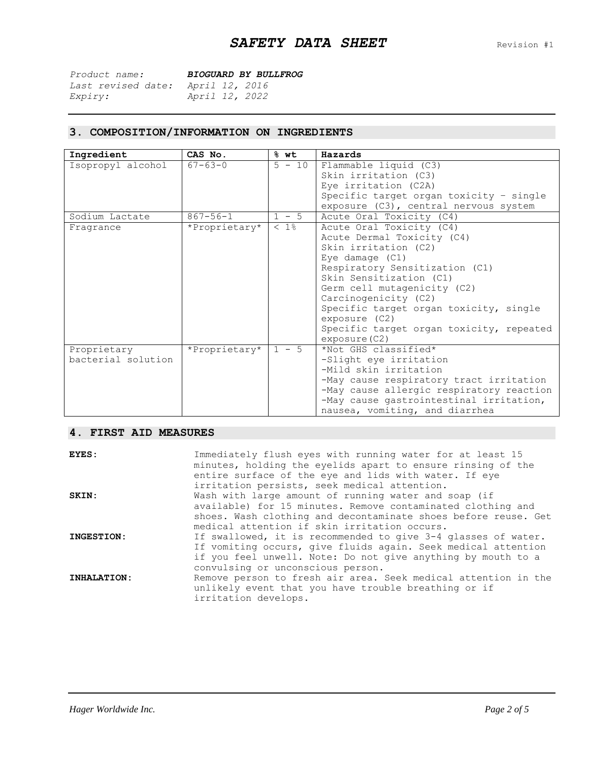| Product name:             | <b>BIOGUARD BY BULLFROG</b> |
|---------------------------|-----------------------------|
| <i>Last revised date:</i> | April 12, 2016              |
| <i>Expiry:</i>            | April 12, 2022              |

# **3. COMPOSITION/INFORMATION ON INGREDIENTS**

| Ingredient         | CAS No.        | $%$ wt   | Hazards                                  |
|--------------------|----------------|----------|------------------------------------------|
| Isopropyl alcohol  | $67 - 63 - 0$  | $5 - 10$ | Flammable liquid (C3)                    |
|                    |                |          | Skin irritation (C3)                     |
|                    |                |          | Eye irritation (C2A)                     |
|                    |                |          | Specific target organ toxicity - single  |
|                    |                |          | exposure (C3), central nervous system    |
| Sodium Lactate     | $867 - 56 - 1$ | $1 - 5$  | Acute Oral Toxicity (C4)                 |
| Fragrance          | *Proprietary*  | $< 1$ %  | Acute Oral Toxicity (C4)                 |
|                    |                |          | Acute Dermal Toxicity (C4)               |
|                    |                |          | Skin irritation (C2)                     |
|                    |                |          | Eye damage $(C1)$                        |
|                    |                |          | Respiratory Sensitization (C1)           |
|                    |                |          | Skin Sensitization (C1)                  |
|                    |                |          | Germ cell mutagenicity (C2)              |
|                    |                |          | Carcinogenicity (C2)                     |
|                    |                |          | Specific target organ toxicity, single   |
|                    |                |          | exposure (C2)                            |
|                    |                |          | Specific target organ toxicity, repeated |
|                    |                |          | exposure (C2)                            |
| Proprietary        | *Proprietary*  | $1 - 5$  | *Not GHS classified*                     |
| bacterial solution |                |          | -Slight eye irritation                   |
|                    |                |          | -Mild skin irritation                    |
|                    |                |          | -May cause respiratory tract irritation  |
|                    |                |          | -May cause allergic respiratory reaction |
|                    |                |          | -May cause gastrointestinal irritation,  |
|                    |                |          | nausea, vomiting, and diarrhea           |

## **4. FIRST AID MEASURES**

| EYES:       | Immediately flush eyes with running water for at least 15<br>minutes, holding the eyelids apart to ensure rinsing of the<br>entire surface of the eye and lids with water. If eye<br>irritation persists, seek medical attention.     |
|-------------|---------------------------------------------------------------------------------------------------------------------------------------------------------------------------------------------------------------------------------------|
| SKIN:       | Wash with large amount of running water and soap (if<br>available) for 15 minutes. Remove contaminated clothing and<br>shoes. Wash clothing and decontaminate shoes before reuse. Get<br>medical attention if skin irritation occurs. |
| INGESTION:  | If swallowed, it is recommended to give 3-4 glasses of water.<br>If vomiting occurs, give fluids again. Seek medical attention<br>if you feel unwell. Note: Do not give anything by mouth to a<br>convulsing or unconscious person.   |
| INHALATION: | Remove person to fresh air area. Seek medical attention in the<br>unlikely event that you have trouble breathing or if<br>irritation develops.                                                                                        |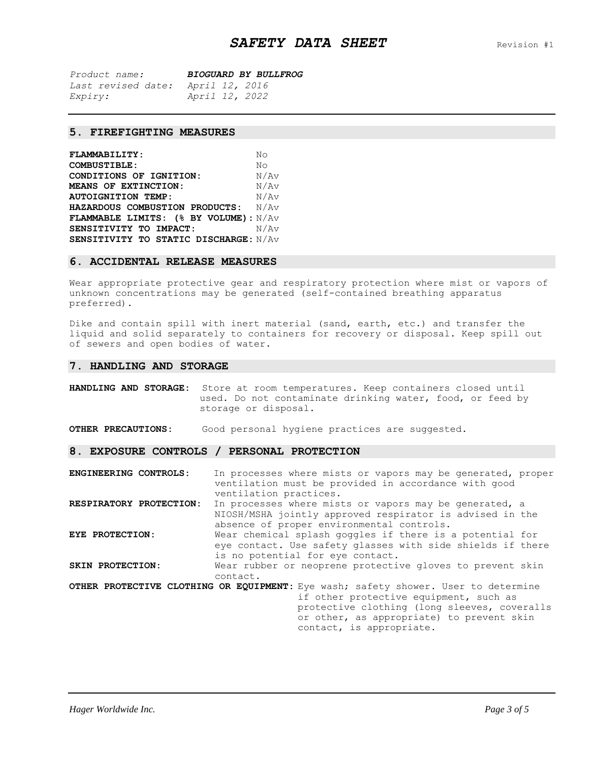| Product name:             | <b>BIOGUARD BY BULLFROG</b> |
|---------------------------|-----------------------------|
| <i>Last revised date:</i> | April 12, 2016              |
| Expiry:                   | April 12, 2022              |

## **5. FIREFIGHTING MEASURES**

| <b>FLAMMABILITY:</b>                  | No   |
|---------------------------------------|------|
| <b>COMBUSTIBLE:</b>                   | No   |
| CONDITIONS OF IGNITION:               | N/Av |
| MEANS OF EXTINCTION:                  | N/Av |
| <b>AUTOIGNITION TEMP:</b>             | N/Av |
| HAZARDOUS COMBUSTION PRODUCTS:        | N/Av |
| FLAMMABLE LIMITS: (% BY VOLUME): N/AV |      |
| SENSITIVITY TO IMPACT:                | N/Av |
| SENSITIVITY TO STATIC DISCHARGE: N/AV |      |

### **6. ACCIDENTAL RELEASE MEASURES**

Wear appropriate protective gear and respiratory protection where mist or vapors of unknown concentrations may be generated (self-contained breathing apparatus preferred).

Dike and contain spill with inert material (sand, earth, etc.) and transfer the liquid and solid separately to containers for recovery or disposal. Keep spill out of sewers and open bodies of water.

## **7. HANDLING AND STORAGE**

| Store at room temperatures. Keep containers closed until<br>HANDLING AND STORAGE:<br>used. Do not contaminate drinking water, food, or feed by<br>storage or disposal.        |                                                                                                                                                                                                                                                       |  |
|-------------------------------------------------------------------------------------------------------------------------------------------------------------------------------|-------------------------------------------------------------------------------------------------------------------------------------------------------------------------------------------------------------------------------------------------------|--|
| OTHER PRECAUTIONS:                                                                                                                                                            | Good personal hygiene practices are suggested.                                                                                                                                                                                                        |  |
|                                                                                                                                                                               | 8. EXPOSURE CONTROLS / PERSONAL PROTECTION                                                                                                                                                                                                            |  |
| ENGINEERING CONTROLS:                                                                                                                                                         | In processes where mists or vapors may be generated, proper<br>ventilation must be provided in accordance with good<br>ventilation practices.                                                                                                         |  |
| RESPIRATORY PROTECTION:                                                                                                                                                       | In processes where mists or vapors may be generated, a<br>NIOSH/MSHA jointly approved respirator is advised in the<br>absence of proper environmental controls.                                                                                       |  |
| Wear chemical splash goggles if there is a potential for<br>EYE PROTECTION:<br>eye contact. Use safety glasses with side shields if there<br>is no potential for eye contact. |                                                                                                                                                                                                                                                       |  |
| SKIN PROTECTION:                                                                                                                                                              | Wear rubber or neoprene protective gloves to prevent skin<br>contact.                                                                                                                                                                                 |  |
|                                                                                                                                                                               | OTHER PROTECTIVE CLOTHING OR EQUIPMENT: Eye wash; safety shower. User to determine<br>if other protective equipment, such as<br>protective clothing (long sleeves, coveralls<br>or other, as appropriate) to prevent skin<br>contact, is appropriate. |  |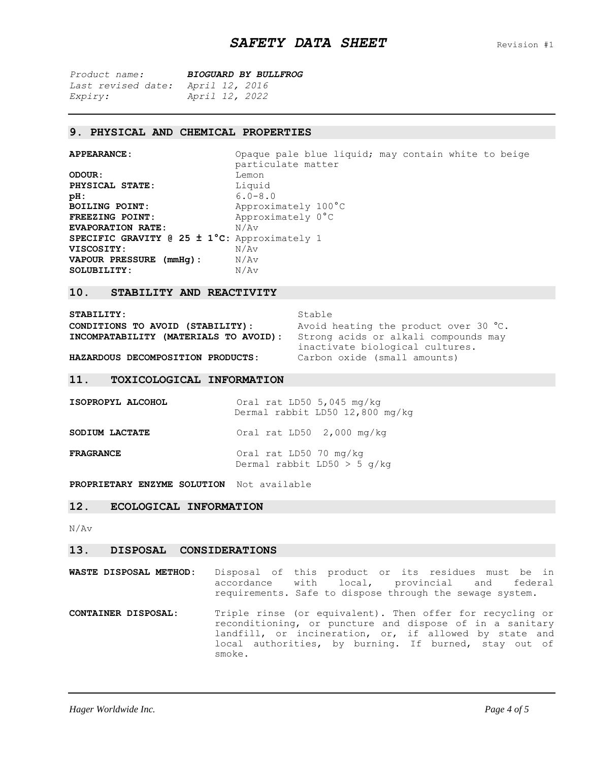| Product name:             | <b>BIOGUARD BY BULLFROG</b> |
|---------------------------|-----------------------------|
| <i>Last revised date:</i> | April 12, 2016              |
| <i>Expiry:</i>            | April 12, 2022              |

### **9. PHYSICAL AND CHEMICAL PROPERTIES**

| <b>APPEARANCE:</b> |  |
|--------------------|--|
|--------------------|--|

SOLUBILITY:

Opaque pale blue liquid; may contain white to beige particulate matter **ODOUR:** Lemon **PHYSICAL STATE:** Liquid **pH:** 6.0-8.0 **BOILING POINT:** Approximately 100°C FREEZING POINT: Approximately 0°C **EVAPORATION RATE:**  $N/AV$ **SPECIFIC GRAVITY @ 25 ± 1°C:** Approximately 1 **VISCOSITY:** N/Av **VAPOUR PRESSURE (mmHg):** N/Av<br>**SOLUBILITY:** N/Av

## **10. STABILITY AND REACTIVITY**

| STABILITY:                            | Stable                                                                  |
|---------------------------------------|-------------------------------------------------------------------------|
| CONDITIONS TO AVOID (STABILITY):      | Avoid heating the product over 30 °C.                                   |
| INCOMPATABILITY (MATERIALS TO AVOID): | Strong acids or alkali compounds may<br>inactivate biological cultures. |
| HAZARDOUS DECOMPOSITION PRODUCTS:     | Carbon oxide (small amounts)                                            |

#### **11. TOXICOLOGICAL INFORMATION**

| ISOPROPYL ALCOHOL     | Oral rat LD50 5,045 mg/kg<br>Dermal rabbit LD50 12,800 mg/kg |
|-----------------------|--------------------------------------------------------------|
| <b>SODIUM LACTATE</b> | Oral rat LD50 2,000 mg/kg                                    |
| <b>FRAGRANCE</b>      | Oral rat LD50 70 mg/kg<br>Dermal rabbit LD50 $>$ 5 q/kg      |

**PROPRIETARY ENZYME SOLUTION** Not available

## **12. ECOLOGICAL INFORMATION**

N/Av

#### **13. DISPOSAL CONSIDERATIONS**

- **WASTE DISPOSAL METHOD:** Disposal of this product or its residues must be in accordance with local, provincial and federal requirements. Safe to dispose through the sewage system.
- **CONTAINER DISPOSAL:** Triple rinse (or equivalent). Then offer for recycling or reconditioning, or puncture and dispose of in a sanitary landfill, or incineration, or, if allowed by state and local authorities, by burning. If burned, stay out of smoke.